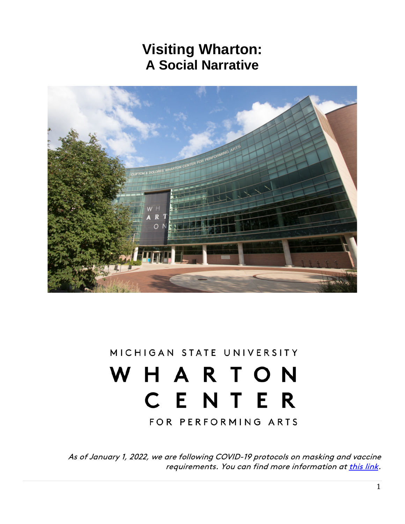## **Visiting Wharton: A Social Narrative**



## MICHIGAN STATE UNIVERSITY WHARTON CENTER

FOR PERFORMING ARTS

As of January 1, 2022, we are following COVID-19 protocols on masking and vaccine requirements. You can find more information a[t this link.](https://www.whartoncenter.com/events-tickets/ticket-office-information/covid-19/)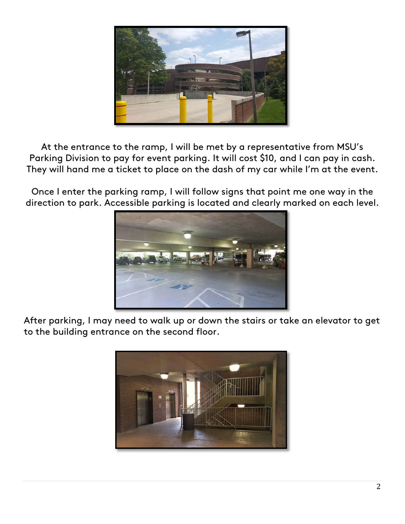

At the entrance to the ramp, I will be met by a representative from MSU's Parking Division to pay for event parking. It will cost \$10, and I can pay in cash. They will hand me a ticket to place on the dash of my car while I'm at the event.

Once I enter the parking ramp, I will follow signs that point me one way in the direction to park. Accessible parking is located and clearly marked on each level.



After parking, I may need to walk up or down the stairs or take an elevator to get to the building entrance on the second floor.

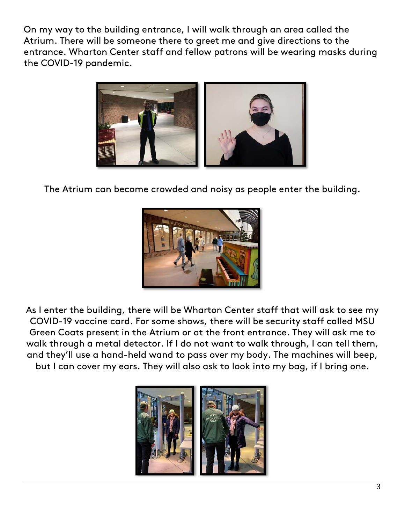On my way to the building entrance, I will walk through an area called the Atrium. There will be someone there to greet me and give directions to the entrance. Wharton Center staff and fellow patrons will be wearing masks during the COVID-19 pandemic.



The Atrium can become crowded and noisy as people enter the building.



As I enter the building, there will be Wharton Center staff that will ask to see my COVID-19 vaccine card. For some shows, there will be security staff called MSU Green Coats present in the Atrium or at the front entrance. They will ask me to walk through a metal detector. If I do not want to walk through, I can tell them, and they'll use a hand-held wand to pass over my body. The machines will beep, but I can cover my ears. They will also ask to look into my bag, if I bring one.

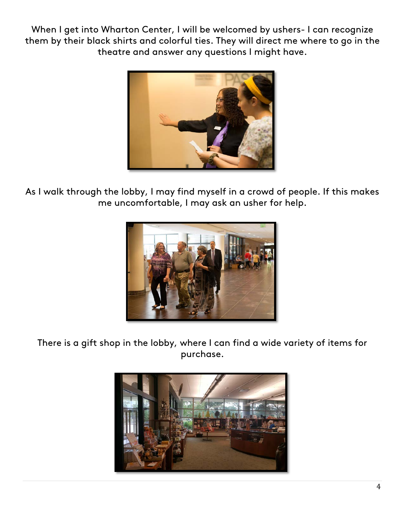When I get into Wharton Center, I will be welcomed by ushers- I can recognize them by their black shirts and colorful ties. They will direct me where to go in the theatre and answer any questions I might have.



As I walk through the lobby, I may find myself in a crowd of people. If this makes me uncomfortable, I may ask an usher for help.



There is a gift shop in the lobby, where I can find a wide variety of items for purchase.

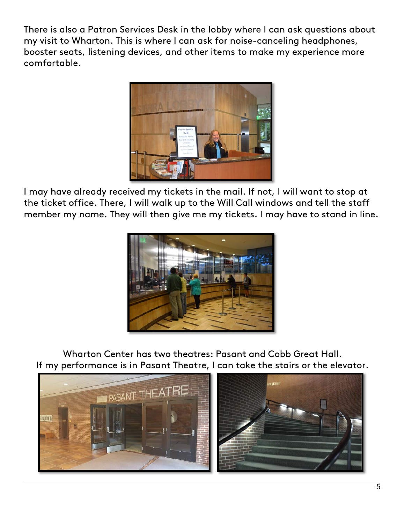There is also a Patron Services Desk in the lobby where I can ask questions about my visit to Wharton. This is where I can ask for noise-canceling headphones, booster seats, listening devices, and other items to make my experience more comfortable.



I may have already received my tickets in the mail. If not, I will want to stop at the ticket office. There, I will walk up to the Will Call windows and tell the staff member my name. They will then give me my tickets. I may have to stand in line.



Wharton Center has two theatres: Pasant and Cobb Great Hall. If my performance is in Pasant Theatre, I can take the stairs or the elevator.

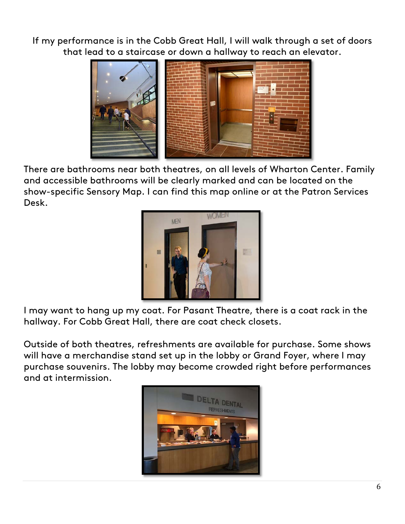If my performance is in the Cobb Great Hall, I will walk through a set of doors that lead to a staircase or down a hallway to reach an elevator.



There are bathrooms near both theatres, on all levels of Wharton Center. Family and accessible bathrooms will be clearly marked and can be located on the show-specific Sensory Map. I can find this map online or at the Patron Services Desk.



I may want to hang up my coat. For Pasant Theatre, there is a coat rack in the hallway. For Cobb Great Hall, there are coat check closets.

Outside of both theatres, refreshments are available for purchase. Some shows will have a merchandise stand set up in the lobby or Grand Foyer, where I may purchase souvenirs. The lobby may become crowded right before performances and at intermission.

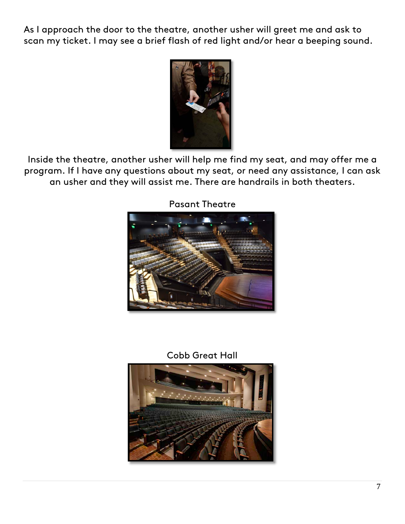As I approach the door to the theatre, another usher will greet me and ask to scan my ticket. I may see a brief flash of red light and/or hear a beeping sound.



Inside the theatre, another usher will help me find my seat, and may offer me a program. If I have any questions about my seat, or need any assistance, I can ask an usher and they will assist me. There are handrails in both theaters.



Pasant Theatre

## Cobb Great Hall